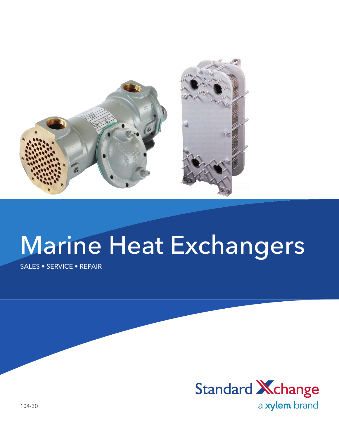

# Marine Heat Exchangers

SALES • SERVICE • REPAIR



104-30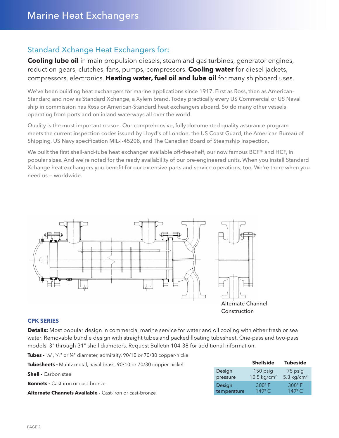### Standard Xchange Heat Exchangers for:

**Cooling lube oil** in main propulsion diesels, steam and gas turbines, generator engines, reduction gears, clutches, fans, pumps, compressors. **Cooling water** for diesel jackets, compressors, electronics. **Heating water, fuel oil and lube oil** for many shipboard uses.

We've been building heat exchangers for marine applications since 1917. First as Ross, then as American-Standard and now as Standard Xchange, a Xylem brand. Today practically every US Commercial or US Naval ship in commission has Ross or American-Standard heat exchangers aboard. So do many other vessels operating from ports and on inland waterways all over the world.

Quality is the most important reason. Our comprehensive, fully documented quality assurance program meets the current inspection codes issued by Lloyd's of London, the US Coast Guard, the American Bureau of Shipping, US Navy specification MIL-I-45208, and The Canadian Board of Steamship Inspection.

We built the first shell-and-tube heat exchanger available off-the-shelf, our now famous BCF® and HCF, in popular sizes. And we're noted for the ready availability of our pre-engineered units. When you install Standard Xchange heat exchangers you benefit for our extensive parts and service operations, too. We're there when you need us — worldwide.



#### **CPK SERIES**

**Details:** Most popular design in commercial marine service for water and oil cooling with either fresh or sea water. Removable bundle design with straight tubes and packed floating tubesheet. One-pass and two-pass models. 3" through 31" shell diameters. Request Bulletin 104-38 for additional information.

**Tubes -** 3/8", 5/8" or 3⁄4" diameter, admiralty, 90/10 or 70/30 copper-nickel

**Tubesheets -** Muntz metal, naval brass, 90/10 or 70/30 copper-nickel

| <b>Shell -</b> Carbon steel                                    | Design<br>pressure | 150 psig<br>10.5 kg/cm <sup>2</sup> | 75 psig<br>$5.3 \text{ ka/cm}^2$ |
|----------------------------------------------------------------|--------------------|-------------------------------------|----------------------------------|
| <b>Bonnets -</b> Cast-iron or cast-bronze                      | Desian             | $300^\circ$ F                       | $300^\circ$ F                    |
| <b>Alternate Channels Available -</b> Cast-iron or cast-bronze | temperature        | $149^\circ$ C                       | $149^\circ$ C                    |

**Shellside Tubeside**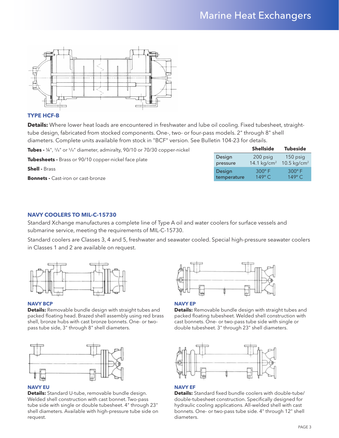

#### **TYPE HCF-B**

**Details:** Where lower heat loads are encountered in freshwater and lube oil cooling. Fixed tubesheet, straighttube design, fabricated from stocked components. One-, two- or four-pass models. 2" through 8" shell diameters. Complete units available from stock in "BCF" version. See Bulletin 104-23 for details.

| Tubes - $\frac{1}{4}$ , $\frac{3}{8}$ or $\frac{5}{8}$ diameter, admiralty, 90/10 or 70/30 copper-nickel |                    | <b>Shellside</b>          | <b>Tubeside</b>                       |
|----------------------------------------------------------------------------------------------------------|--------------------|---------------------------|---------------------------------------|
| <b>Tubesheets -</b> Brass or 90/10 copper-nickel face plate                                              | Design<br>pressure | 200 psig<br>14.1 $kg/cm2$ | $150$ psig<br>10.5 kg/cm <sup>2</sup> |
| <b>Shell - Brass</b>                                                                                     | Design             | $300^\circ$ F             | $300^\circ$ F                         |
| <b>Bonnets - Cast-iron or cast-bronze</b>                                                                | temperature        | $149^\circ$ C             | $149^\circ$ C                         |
|                                                                                                          |                    |                           |                                       |

#### **NAVY COOLERS TO MIL-C-15730**

Standard Xchange manufactures a complete line of Type A oil and water coolers for surface vessels and submarine service, meeting the requirements of MIL-C-15730.

Standard coolers are Classes 3, 4 and 5, freshwater and seawater cooled. Special high-pressure seawater coolers in Classes 1 and 2 are available on request.



#### **NAVY BCP**

**Details:** Removable bundle design with straight tubes and packed floating head. Brazed shell assembly using red brass shell, bronze hubs with cast bronze bonnets. One- or twopass tube side, 3" through 8" shell diameters.



#### **NAVY EU**

**Details:** Standard U-tube, removable bundle design. Welded shell construction with cast bonnet. Two-pass tube side with single or double tubesheet. 4" through 23" shell diameters. Available with high-pressure tube side on request.



#### **NAVY EP**

**Details:** Removable bundle design with straight tubes and packed floating tubesheet. Welded shell construction with cast bonnets. One- or two-pass tube side with single or double tubesheet. 3" through 23" shell diameters.



#### **NAVY EF**

**Details:** Standard fixed bundle coolers with double-tube/ double-tubesheet construction. Specifically designed for hydraulic cooling applications. All-welded shell with cast bonnets. One- or two-pass tube side. 4" through 12" shell diameters.